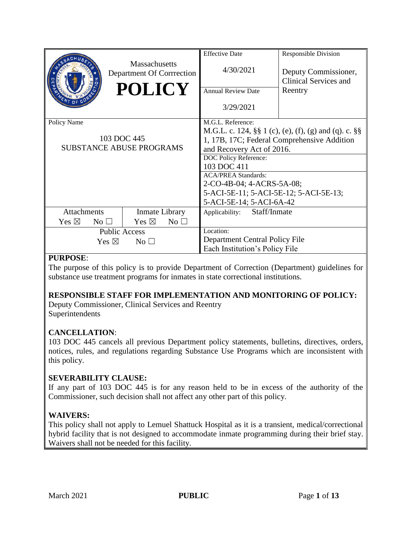|                                    |                                                   | <b>Effective Date</b>                                         | Responsible Division                                 |
|------------------------------------|---------------------------------------------------|---------------------------------------------------------------|------------------------------------------------------|
|                                    | <b>Massachusetts</b><br>Department Of Corrrection | 4/30/2021                                                     | Deputy Commissioner,<br><b>Clinical Services and</b> |
|                                    | <b>POLICY</b>                                     | <b>Annual Review Date</b>                                     | Reentry                                              |
|                                    |                                                   | 3/29/2021                                                     |                                                      |
| Policy Name                        |                                                   | M.G.L. Reference:                                             |                                                      |
|                                    |                                                   | M.G.L. c. 124, $\S\S 1$ (c), (e), (f), (g) and (q). c. $\S\S$ |                                                      |
| 103 DOC 445                        |                                                   | 1, 17B, 17C; Federal Comprehensive Addition                   |                                                      |
| <b>SUBSTANCE ABUSE PROGRAMS</b>    |                                                   | and Recovery Act of 2016.                                     |                                                      |
|                                    |                                                   | <b>DOC Policy Reference:</b>                                  |                                                      |
|                                    |                                                   | 103 DOC 411                                                   |                                                      |
|                                    |                                                   | <b>ACA/PREA Standards:</b>                                    |                                                      |
|                                    |                                                   | 2-CO-4B-04; 4-ACRS-5A-08;                                     |                                                      |
|                                    |                                                   | 5-ACI-5E-11; 5-ACI-5E-12; 5-ACI-5E-13;                        |                                                      |
|                                    |                                                   | 5-ACI-5E-14; 5-ACI-6A-42                                      |                                                      |
| <b>Attachments</b>                 | Inmate Library                                    | Staff/Inmate<br>Applicability:                                |                                                      |
| Yes $\boxtimes$<br>$\rm No$ $\Box$ | Yes $\boxtimes$<br>$No$ $\square$                 |                                                               |                                                      |
| <b>Public Access</b>               |                                                   | Location:                                                     |                                                      |
| Yes $\boxtimes$<br>No <sub>1</sub> |                                                   | Department Central Policy File                                |                                                      |
|                                    |                                                   | Each Institution's Policy File                                |                                                      |

#### **PURPOSE**:

The purpose of this policy is to provide Department of Correction (Department) guidelines for substance use treatment programs for inmates in state correctional institutions.

### **RESPONSIBLE STAFF FOR IMPLEMENTATION AND MONITORING OF POLICY:**

Deputy Commissioner, Clinical Services and Reentry Superintendents

### **CANCELLATION**:

103 DOC 445 cancels all previous Department policy statements, bulletins, directives, orders, notices, rules, and regulations regarding Substance Use Programs which are inconsistent with this policy.

#### **SEVERABILITY CLAUSE:**

If any part of 103 DOC 445 is for any reason held to be in excess of the authority of the Commissioner, such decision shall not affect any other part of this policy.

### **WAIVERS:**

This policy shall not apply to Lemuel Shattuck Hospital as it is a transient, medical/correctional hybrid facility that is not designed to accommodate inmate programming during their brief stay. Waivers shall not be needed for this facility.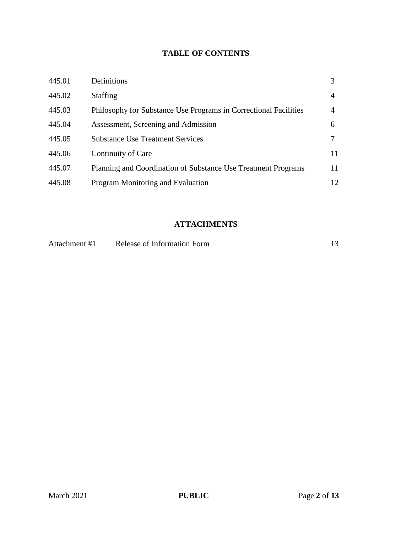# **TABLE OF CONTENTS**

| 445.01 | Definitions                                                      |    |
|--------|------------------------------------------------------------------|----|
| 445.02 | <b>Staffing</b>                                                  | 4  |
| 445.03 | Philosophy for Substance Use Programs in Correctional Facilities | 4  |
| 445.04 | Assessment, Screening and Admission                              | 6  |
| 445.05 | <b>Substance Use Treatment Services</b>                          |    |
| 445.06 | Continuity of Care                                               | 11 |
| 445.07 | Planning and Coordination of Substance Use Treatment Programs    | 11 |
| 445.08 | Program Monitoring and Evaluation                                | 12 |

# **ATTACHMENTS**

| Attachment #1 | Release of Information Form |  |
|---------------|-----------------------------|--|
|---------------|-----------------------------|--|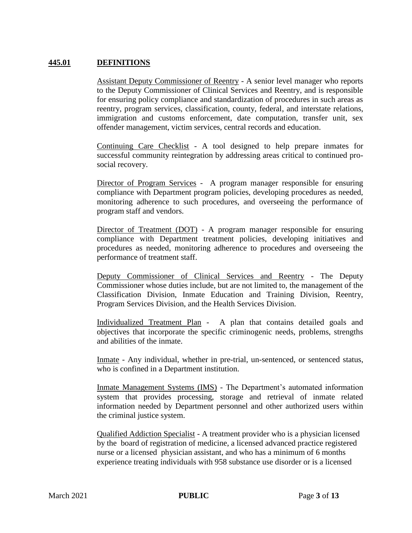### **445.01 DEFINITIONS**

Assistant Deputy Commissioner of Reentry - A senior level manager who reports to the Deputy Commissioner of Clinical Services and Reentry, and is responsible for ensuring policy compliance and standardization of procedures in such areas as reentry, program services, classification, county, federal, and interstate relations, immigration and customs enforcement, date computation, transfer unit, sex offender management, victim services, central records and education.

Continuing Care Checklist - A tool designed to help prepare inmates for successful community reintegration by addressing areas critical to continued prosocial recovery.

Director of Program Services - A program manager responsible for ensuring compliance with Department program policies, developing procedures as needed, monitoring adherence to such procedures, and overseeing the performance of program staff and vendors.

Director of Treatment (DOT) - A program manager responsible for ensuring compliance with Department treatment policies, developing initiatives and procedures as needed, monitoring adherence to procedures and overseeing the performance of treatment staff.

Deputy Commissioner of Clinical Services and Reentry - The Deputy Commissioner whose duties include, but are not limited to, the management of the Classification Division, Inmate Education and Training Division, Reentry, Program Services Division, and the Health Services Division.

Individualized Treatment Plan - A plan that contains detailed goals and objectives that incorporate the specific criminogenic needs, problems, strengths and abilities of the inmate.

Inmate - Any individual, whether in pre-trial, un-sentenced, or sentenced status, who is confined in a Department institution.

Inmate Management Systems (IMS) - The Department's automated information system that provides processing, storage and retrieval of inmate related information needed by Department personnel and other authorized users within the criminal justice system.

Qualified Addiction Specialist - A treatment provider who is a physician licensed by the board of registration of medicine, a licensed advanced practice registered nurse or a licensed physician assistant, and who has a minimum of 6 months experience treating individuals with 958 substance use disorder or is a licensed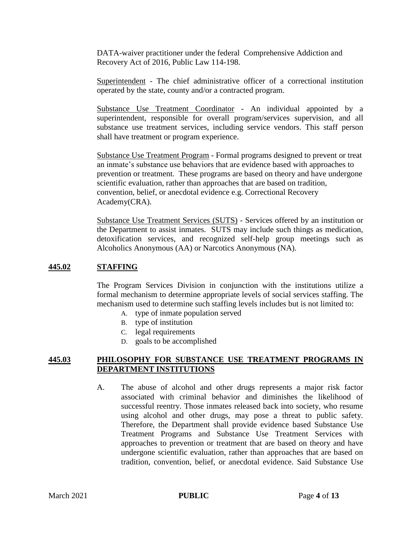DATA-waiver practitioner under the federal Comprehensive Addiction and Recovery Act of 2016, Public Law 114-198.

Superintendent - The chief administrative officer of a correctional institution operated by the state, county and/or a contracted program.

Substance Use Treatment Coordinator - An individual appointed by a superintendent, responsible for overall program/services supervision, and all substance use treatment services, including service vendors. This staff person shall have treatment or program experience.

Substance Use Treatment Program - Formal programs designed to prevent or treat an inmate's substance use behaviors that are evidence based with approaches to prevention or treatment. These programs are based on theory and have undergone scientific evaluation, rather than approaches that are based on tradition, convention, belief, or anecdotal evidence e.g. Correctional Recovery Academy(CRA).

Substance Use Treatment Services (SUTS) - Services offered by an institution or the Department to assist inmates. SUTS may include such things as medication, detoxification services, and recognized self-help group meetings such as Alcoholics Anonymous (AA) or Narcotics Anonymous (NA).

### **445.02 STAFFING**

The Program Services Division in conjunction with the institutions utilize a formal mechanism to determine appropriate levels of social services staffing. The mechanism used to determine such staffing levels includes but is not limited to:

- A. type of inmate population served
- B. type of institution
- C. legal requirements
- D. goals to be accomplished

#### **445.03 PHILOSOPHY FOR SUBSTANCE USE TREATMENT PROGRAMS IN DEPARTMENT INSTITUTIONS**

A. The abuse of alcohol and other drugs represents a major risk factor associated with criminal behavior and diminishes the likelihood of successful reentry. Those inmates released back into society, who resume using alcohol and other drugs, may pose a threat to public safety. Therefore, the Department shall provide evidence based Substance Use Treatment Programs and Substance Use Treatment Services with approaches to prevention or treatment that are based on theory and have undergone scientific evaluation, rather than approaches that are based on tradition, convention, belief, or anecdotal evidence. Said Substance Use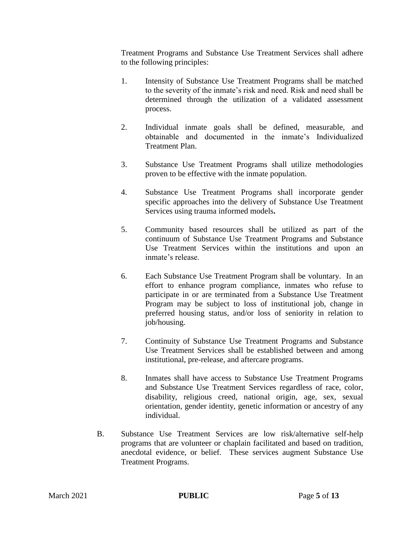Treatment Programs and Substance Use Treatment Services shall adhere to the following principles:

- 1. Intensity of Substance Use Treatment Programs shall be matched to the severity of the inmate's risk and need. Risk and need shall be determined through the utilization of a validated assessment process.
- 2. Individual inmate goals shall be defined, measurable, and obtainable and documented in the inmate's Individualized Treatment Plan.
- 3. Substance Use Treatment Programs shall utilize methodologies proven to be effective with the inmate population.
- 4. Substance Use Treatment Programs shall incorporate gender specific approaches into the delivery of Substance Use Treatment Services using trauma informed models**.**
- 5. Community based resources shall be utilized as part of the continuum of Substance Use Treatment Programs and Substance Use Treatment Services within the institutions and upon an inmate's release.
- 6. Each Substance Use Treatment Program shall be voluntary. In an effort to enhance program compliance, inmates who refuse to participate in or are terminated from a Substance Use Treatment Program may be subject to loss of institutional job, change in preferred housing status, and/or loss of seniority in relation to job/housing.
- 7. Continuity of Substance Use Treatment Programs and Substance Use Treatment Services shall be established between and among institutional, pre-release, and aftercare programs.
- 8. Inmates shall have access to Substance Use Treatment Programs and Substance Use Treatment Services regardless of race, color, disability, religious creed, national origin, age, sex, sexual orientation, gender identity, genetic information or ancestry of any individual.
- B. Substance Use Treatment Services are low risk/alternative self-help programs that are volunteer or chaplain facilitated and based on tradition, anecdotal evidence, or belief. These services augment Substance Use Treatment Programs.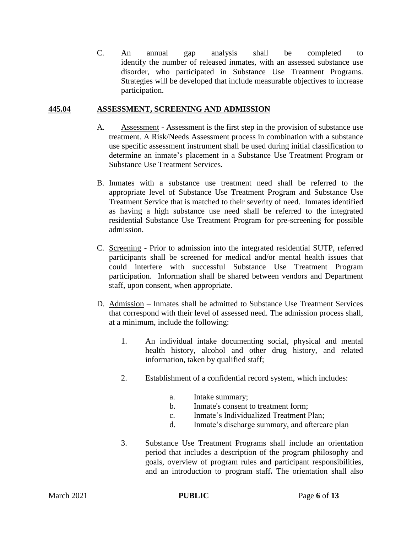C. An annual gap analysis shall be completed to identify the number of released inmates, with an assessed substance use disorder, who participated in Substance Use Treatment Programs. Strategies will be developed that include measurable objectives to increase participation.

### **445.04 ASSESSMENT, SCREENING AND ADMISSION**

- A. Assessment Assessment is the first step in the provision of substance use treatment. A Risk/Needs Assessment process in combination with a substance use specific assessment instrument shall be used during initial classification to determine an inmate's placement in a Substance Use Treatment Program or Substance Use Treatment Services.
- B. Inmates with a substance use treatment need shall be referred to the appropriate level of Substance Use Treatment Program and Substance Use Treatment Service that is matched to their severity of need. Inmates identified as having a high substance use need shall be referred to the integrated residential Substance Use Treatment Program for pre-screening for possible admission.
- C. Screening Prior to admission into the integrated residential SUTP, referred participants shall be screened for medical and/or mental health issues that could interfere with successful Substance Use Treatment Program participation. Information shall be shared between vendors and Department staff, upon consent, when appropriate.
- D. Admission Inmates shall be admitted to Substance Use Treatment Services that correspond with their level of assessed need. The admission process shall, at a minimum, include the following:
	- 1. An individual intake documenting social, physical and mental health history, alcohol and other drug history, and related information, taken by qualified staff;
	- 2. Establishment of a confidential record system, which includes:
		- a. Intake summary;
		- b. Inmate's consent to treatment form;
		- c. Inmate's Individualized Treatment Plan;
		- d. Inmate's discharge summary, and aftercare plan
	- 3. Substance Use Treatment Programs shall include an orientation period that includes a description of the program philosophy and goals, overview of program rules and participant responsibilities, and an introduction to program staff**.** The orientation shall also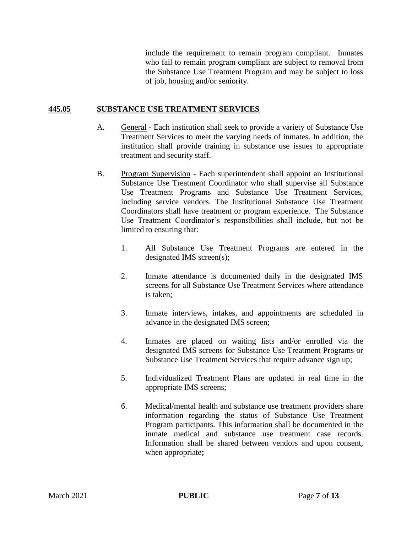include the requirement to remain program compliant. Inmates who fail to remain program compliant are subject to removal from the Substance Use Treatment Program and may be subject to loss of job, housing and/or seniority.

### **445.05 SUBSTANCE USE TREATMENT SERVICES**

- A. General Each institution shall seek to provide a variety of Substance Use Treatment Services to meet the varying needs of inmates. In addition, the institution shall provide training in substance use issues to appropriate treatment and security staff.
- B. Program Supervision Each superintendent shall appoint an Institutional Substance Use Treatment Coordinator who shall supervise all Substance Use Treatment Programs and Substance Use Treatment Services, including service vendors. The Institutional Substance Use Treatment Coordinators shall have treatment or program experience. The Substance Use Treatment Coordinator's responsibilities shall include, but not be limited to ensuring that:
	- 1. All Substance Use Treatment Programs are entered in the designated IMS screen(s);
	- 2. Inmate attendance is documented daily in the designated IMS screens for all Substance Use Treatment Services where attendance is taken;
	- 3. Inmate interviews, intakes, and appointments are scheduled in advance in the designated IMS screen;
	- 4. Inmates are placed on waiting lists and/or enrolled via the designated IMS screens for Substance Use Treatment Programs or Substance Use Treatment Services that require advance sign up;
	- 5. Individualized Treatment Plans are updated in real time in the appropriate IMS screens;
	- 6. Medical/mental health and substance use treatment providers share information regarding the status of Substance Use Treatment Program participants. This information shall be documented in the inmate medical and substance use treatment case records. Information shall be shared between vendors and upon consent, when appropriate**;**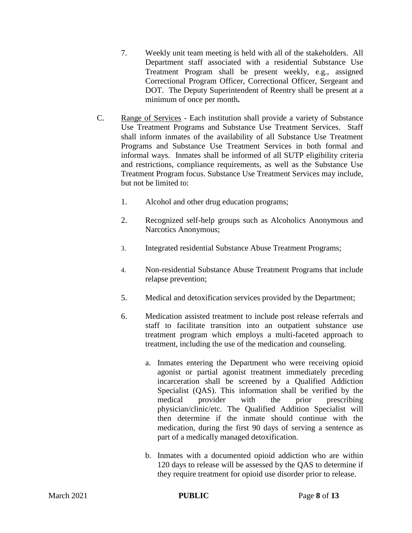- 7. Weekly unit team meeting is held with all of the stakeholders. All Department staff associated with a residential Substance Use Treatment Program shall be present weekly, e.g., assigned Correctional Program Officer, Correctional Officer, Sergeant and DOT. The Deputy Superintendent of Reentry shall be present at a minimum of once per month**.**
- C. Range of Services Each institution shall provide a variety of Substance Use Treatment Programs and Substance Use Treatment Services. Staff shall inform inmates of the availability of all Substance Use Treatment Programs and Substance Use Treatment Services in both formal and informal ways. Inmates shall be informed of all SUTP eligibility criteria and restrictions, compliance requirements, as well as the Substance Use Treatment Program focus. Substance Use Treatment Services may include, but not be limited to:
	- 1. Alcohol and other drug education programs;
	- 2. Recognized self-help groups such as Alcoholics Anonymous and Narcotics Anonymous;
	- 3. Integrated residential Substance Abuse Treatment Programs;
	- 4. Non-residential Substance Abuse Treatment Programs that include relapse prevention;
	- 5. Medical and detoxification services provided by the Department;
	- 6. Medication assisted treatment to include post release referrals and staff to facilitate transition into an outpatient substance use treatment program which employs a multi-faceted approach to treatment, including the use of the medication and counseling.
		- a. Inmates entering the Department who were receiving opioid agonist or partial agonist treatment immediately preceding incarceration shall be screened by a Qualified Addiction Specialist (QAS). This information shall be verified by the medical provider with the prior prescribing physician/clinic/etc. The Qualified Addition Specialist will then determine if the inmate should continue with the medication, during the first 90 days of serving a sentence as part of a medically managed detoxification.
		- b. Inmates with a documented opioid addiction who are within 120 days to release will be assessed by the QAS to determine if they require treatment for opioid use disorder prior to release.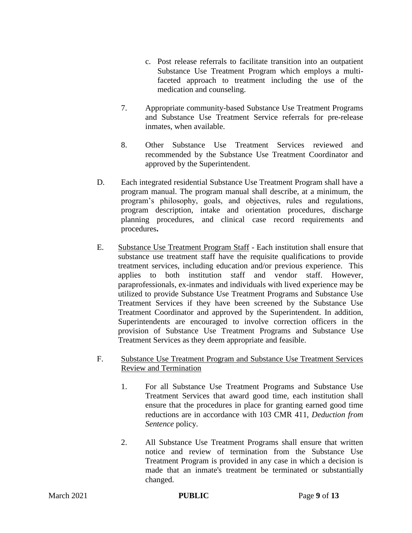- c. Post release referrals to facilitate transition into an outpatient Substance Use Treatment Program which employs a multifaceted approach to treatment including the use of the medication and counseling.
- 7. Appropriate community-based Substance Use Treatment Programs and Substance Use Treatment Service referrals for pre-release inmates, when available.
- 8. Other Substance Use Treatment Services reviewed and recommended by the Substance Use Treatment Coordinator and approved by the Superintendent.
- D. Each integrated residential Substance Use Treatment Program shall have a program manual. The program manual shall describe, at a minimum, the program's philosophy, goals, and objectives, rules and regulations, program description, intake and orientation procedures, discharge planning procedures, and clinical case record requirements and procedures**.**
- E. Substance Use Treatment Program Staff Each institution shall ensure that substance use treatment staff have the requisite qualifications to provide treatment services, including education and/or previous experience. This applies to both institution staff and vendor staff. However, paraprofessionals, ex-inmates and individuals with lived experience may be utilized to provide Substance Use Treatment Programs and Substance Use Treatment Services if they have been screened by the Substance Use Treatment Coordinator and approved by the Superintendent. In addition, Superintendents are encouraged to involve correction officers in the provision of Substance Use Treatment Programs and Substance Use Treatment Services as they deem appropriate and feasible.
- F. Substance Use Treatment Program and Substance Use Treatment Services Review and Termination
	- 1. For all Substance Use Treatment Programs and Substance Use Treatment Services that award good time, each institution shall ensure that the procedures in place for granting earned good time reductions are in accordance with 103 CMR 411, *Deduction from Sentence* policy.
	- 2. All Substance Use Treatment Programs shall ensure that written notice and review of termination from the Substance Use Treatment Program is provided in any case in which a decision is made that an inmate's treatment be terminated or substantially changed.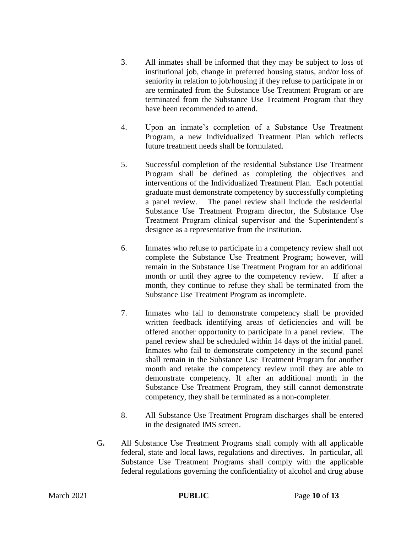- 3. All inmates shall be informed that they may be subject to loss of institutional job, change in preferred housing status, and/or loss of seniority in relation to job/housing if they refuse to participate in or are terminated from the Substance Use Treatment Program or are terminated from the Substance Use Treatment Program that they have been recommended to attend.
- 4. Upon an inmate's completion of a Substance Use Treatment Program, a new Individualized Treatment Plan which reflects future treatment needs shall be formulated.
- 5. Successful completion of the residential Substance Use Treatment Program shall be defined as completing the objectives and interventions of the Individualized Treatment Plan. Each potential graduate must demonstrate competency by successfully completing a panel review. The panel review shall include the residential Substance Use Treatment Program director, the Substance Use Treatment Program clinical supervisor and the Superintendent's designee as a representative from the institution.
- 6. Inmates who refuse to participate in a competency review shall not complete the Substance Use Treatment Program; however, will remain in the Substance Use Treatment Program for an additional month or until they agree to the competency review. If after a month, they continue to refuse they shall be terminated from the Substance Use Treatment Program as incomplete.
- 7. Inmates who fail to demonstrate competency shall be provided written feedback identifying areas of deficiencies and will be offered another opportunity to participate in a panel review. The panel review shall be scheduled within 14 days of the initial panel. Inmates who fail to demonstrate competency in the second panel shall remain in the Substance Use Treatment Program for another month and retake the competency review until they are able to demonstrate competency. If after an additional month in the Substance Use Treatment Program, they still cannot demonstrate competency, they shall be terminated as a non-completer.
- 8. All Substance Use Treatment Program discharges shall be entered in the designated IMS screen.
- G**.** All Substance Use Treatment Programs shall comply with all applicable federal, state and local laws, regulations and directives. In particular, all Substance Use Treatment Programs shall comply with the applicable federal regulations governing the confidentiality of alcohol and drug abuse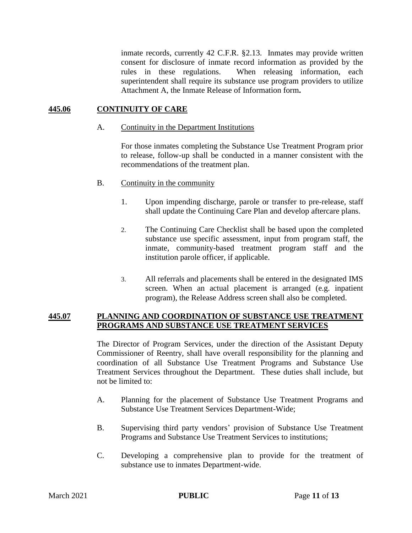inmate records, currently 42 C.F.R. §2.13. Inmates may provide written consent for disclosure of inmate record information as provided by the rules in these regulations. When releasing information, each superintendent shall require its substance use program providers to utilize Attachment A, the Inmate Release of Information form**.**

## **445.06 CONTINUITY OF CARE**

#### A. Continuity in the Department Institutions

For those inmates completing the Substance Use Treatment Program prior to release, follow-up shall be conducted in a manner consistent with the recommendations of the treatment plan.

### B. Continuity in the community

- 1. Upon impending discharge, parole or transfer to pre-release, staff shall update the Continuing Care Plan and develop aftercare plans.
- 2. The Continuing Care Checklist shall be based upon the completed substance use specific assessment, input from program staff, the inmate, community-based treatment program staff and the institution parole officer, if applicable.
- 3. All referrals and placements shall be entered in the designated IMS screen. When an actual placement is arranged (e.g. inpatient program), the Release Address screen shall also be completed.

### **445.07 PLANNING AND COORDINATION OF SUBSTANCE USE TREATMENT PROGRAMS AND SUBSTANCE USE TREATMENT SERVICES**

The Director of Program Services, under the direction of the Assistant Deputy Commissioner of Reentry, shall have overall responsibility for the planning and coordination of all Substance Use Treatment Programs and Substance Use Treatment Services throughout the Department. These duties shall include, but not be limited to:

- A. Planning for the placement of Substance Use Treatment Programs and Substance Use Treatment Services Department-Wide;
- B. Supervising third party vendors' provision of Substance Use Treatment Programs and Substance Use Treatment Services to institutions;
- C. Developing a comprehensive plan to provide for the treatment of substance use to inmates Department-wide.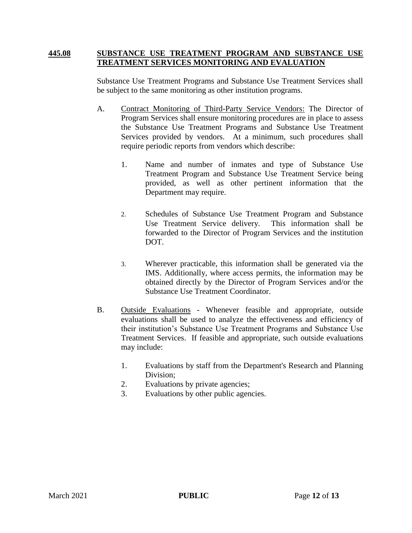#### **445.08 SUBSTANCE USE TREATMENT PROGRAM AND SUBSTANCE USE TREATMENT SERVICES MONITORING AND EVALUATION**

Substance Use Treatment Programs and Substance Use Treatment Services shall be subject to the same monitoring as other institution programs.

- A. Contract Monitoring of Third-Party Service Vendors: The Director of Program Services shall ensure monitoring procedures are in place to assess the Substance Use Treatment Programs and Substance Use Treatment Services provided by vendors. At a minimum, such procedures shall require periodic reports from vendors which describe:
	- 1. Name and number of inmates and type of Substance Use Treatment Program and Substance Use Treatment Service being provided, as well as other pertinent information that the Department may require.
	- 2. Schedules of Substance Use Treatment Program and Substance Use Treatment Service delivery. This information shall be forwarded to the Director of Program Services and the institution DOT.
	- 3. Wherever practicable, this information shall be generated via the IMS. Additionally, where access permits, the information may be obtained directly by the Director of Program Services and/or the Substance Use Treatment Coordinator.
- B. Outside Evaluations Whenever feasible and appropriate, outside evaluations shall be used to analyze the effectiveness and efficiency of their institution's Substance Use Treatment Programs and Substance Use Treatment Services. If feasible and appropriate, such outside evaluations may include:
	- 1. Evaluations by staff from the Department's Research and Planning Division;
	- 2. Evaluations by private agencies;
	- 3. Evaluations by other public agencies.